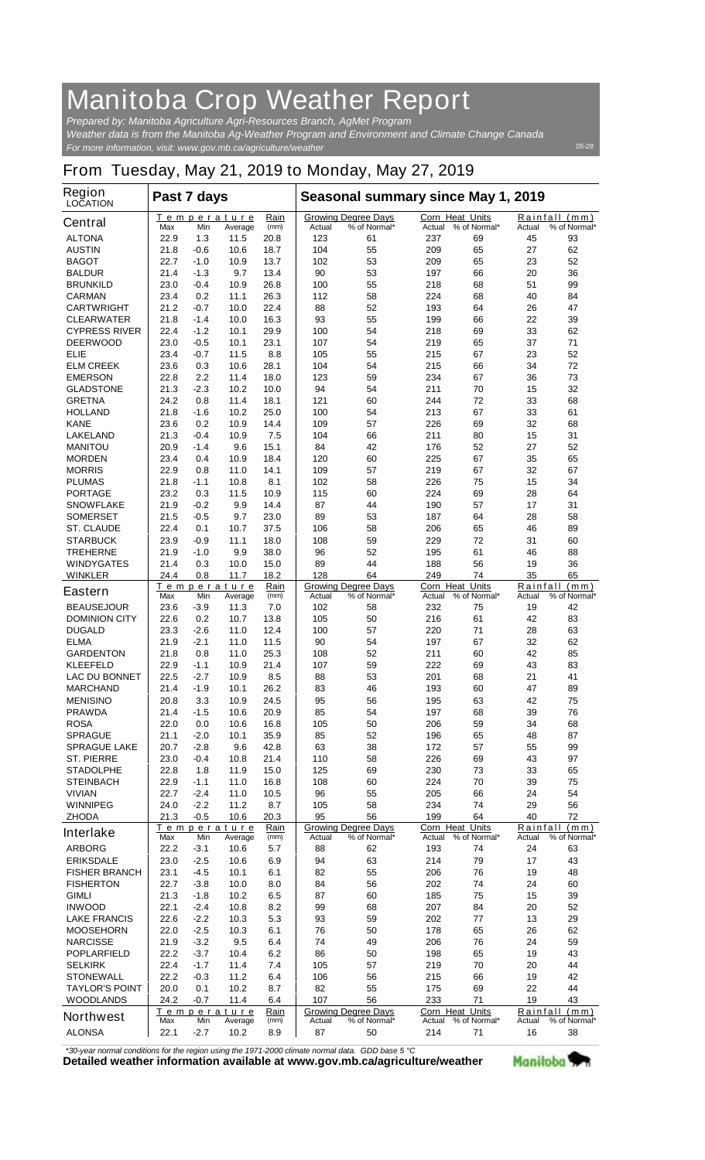## **Manitoba Crop Weather Report**

*For more information, visit: www.gov.mb.ca/agriculture/weather Prepared by: Manitoba Agriculture Agri-Resources Branch, AgMet Program Weather data is from the Manitoba Ag-Weather Program and Environment and Climate Change Canada*

## **From Tuesday, May 21, 2019 to Monday, May 27, 2019**

| Region<br><b>LOCATION</b>                 | Past 7 days  |                  |                        |              | Seasonal summary since May 1, 2019 |                                            |                                  |                     |          |                               |
|-------------------------------------------|--------------|------------------|------------------------|--------------|------------------------------------|--------------------------------------------|----------------------------------|---------------------|----------|-------------------------------|
| <b>Central</b>                            | Max          | Min              | Temperature<br>Average | Rain<br>(mm) | Actual                             | <b>Growing Degree Days</b><br>% of Normal* | <b>Corn Heat Units</b><br>Actual | % of Normal*        | Actual   | Rainfall (mm)<br>% of Normal* |
| <b>ALTONA</b>                             | 22.9         | 1.3              | 11.5                   | 20.8         | 123                                | 61                                         | 237                              | 69                  | 45       | 93                            |
| <b>AUSTIN</b>                             | 21.8         | -0.6             | 10.6                   | 18.7         | 104                                | 55<br>53                                   | 209                              | 65                  | 27       | 62<br>52                      |
| <b>BAGOT</b><br><b>BALDUR</b>             | 22.7<br>21.4 | $-1.0$<br>-1.3   | 10.9<br>9.7            | 13.7<br>13.4 | 102<br>90                          | 53                                         | 209<br>197                       | 65<br>66            | 23<br>20 | 36                            |
| <b>BRUNKILD</b>                           | 23.0         | $-0.4$           | 10.9                   | 26.8         | 100                                | 55                                         | 218                              | 68                  | 51       | 99                            |
| <b>CARMAN</b>                             | 23.4         | 0.2              | 11.1                   | 26.3         | 112                                | 58                                         | 224                              | 68                  | 40       | 84                            |
| <b>CARTWRIGHT</b>                         | 21.2         | -0.7             | 10.0                   | 22.4         | 88                                 | 52                                         | 193                              | 64                  | 26       | 47                            |
| <b>CLEARWATER</b>                         | 21.8         | -1.4             | 10.0                   | 16.3         | 93                                 | 55                                         | 199                              | 66                  | 22       | 39                            |
| <b>CYPRESS RIVER</b>                      | 22.4         | $-1.2$           | 10.1                   | 29.9         | 100                                | 54                                         | 218                              | 69                  | 33       | 62                            |
| <b>DEERWOOD</b>                           | 23.0         | $-0.5$           | 10.1                   | 23.1         | 107                                | 54                                         | 219                              | 65                  | 37       | 71                            |
| ELIE                                      | 23.4         | $-0.7$           | 11.5                   | 8.8          | 105                                | 55                                         | 215                              | 67                  | 23       | 52                            |
| <b>ELM CREEK</b>                          | 23.6         | 0.3              | 10.6                   | 28.1         | 104                                | 54                                         | 215                              | 66                  | 34       | 72<br>73                      |
| <b>EMERSON</b><br><b>GLADSTONE</b>        | 22.8<br>21.3 | 2.2<br>$-2.3$    | 11.4<br>10.2           | 18.0<br>10.0 | 123<br>94                          | 59<br>54                                   | 234<br>211                       | 67<br>70            | 36<br>15 | 32                            |
| <b>GRETNA</b>                             | 24.2         | 0.8              | 11.4                   | 18.1         | 121                                | 60                                         | 244                              | 72                  | 33       | 68                            |
| <b>HOLLAND</b>                            | 21.8         | $-1.6$           | 10.2                   | 25.0         | 100                                | 54                                         | 213                              | 67                  | 33       | 61                            |
| <b>KANE</b>                               | 23.6         | 0.2              | 10.9                   | 14.4         | 109                                | 57                                         | 226                              | 69                  | 32       | 68                            |
| <b>LAKELAND</b>                           | 21.3         | $-0.4$           | 10.9                   | 7.5          | 104                                | 66                                         | 211                              | 80                  | 15       | 31                            |
| <b>MANITOU</b>                            | 20.9         | -1.4             | 9.6                    | 15.1         | 84                                 | 42                                         | 176                              | 52                  | 27       | 52                            |
| <b>MORDEN</b>                             | 23.4         | 0.4              | 10.9                   | 18.4         | 120                                | 60                                         | 225                              | 67                  | 35       | 65                            |
| <b>MORRIS</b>                             | 22.9         | 0.8              | 11.0                   | 14.1         | 109                                | 57                                         | 219                              | 67                  | 32       | 67                            |
| <b>PLUMAS</b>                             | 21.8         | -1.1             | 10.8                   | 8.1          | 102                                | 58                                         | 226                              | 75                  | 15       | 34                            |
| <b>PORTAGE</b>                            | 23.2<br>21.9 | 0.3<br>$-0.2$    | 11.5                   | 10.9<br>14.4 | 115<br>87                          | 60<br>44                                   | 224<br>190                       | 69<br>57            | 28<br>17 | 64<br>31                      |
| <b>SNOWFLAKE</b><br><b>SOMERSET</b>       | 21.5         | $-0.5$           | 9.9<br>9.7             | 23.0         | 89                                 | 53                                         | 187                              | 64                  | 28       | 58                            |
| <b>ST. CLAUDE</b>                         | 22.4         | 0.1              | 10.7                   | 37.5         | 106                                | 58                                         | 206                              | 65                  | 46       | 89                            |
| <b>STARBUCK</b>                           | 23.9         | -0.9             | 11.1                   | 18.0         | 108                                | 59                                         | 229                              | 72                  | 31       | 60                            |
| <b>TREHERNE</b>                           | 21.9         | $-1.0$           | 9.9                    | 38.0         | 96                                 | 52                                         | 195                              | 61                  | 46       | 88                            |
| WINDYGATES                                | 21.4         | 0.3              | 10.0                   | 15.0         | 89                                 | 44                                         | 188                              | 56                  | 19       | 36                            |
| <b>WINKLER</b>                            | 24.4         | 0.8              | 11.7                   | 18.2         | 128                                | 64                                         | 249                              | 74                  | 35       | 65                            |
| <b>Eastern</b>                            | Max          | Min              | Temperature<br>Average | Rain<br>(mm) | Actual                             | <b>Growing Degree Days</b><br>% of Normal* | <b>Corn Heat Units</b><br>Actual | % of Normal*        | Actual   | Rainfall (mm)<br>% of Normal* |
| <b>BEAUSEJOUR</b>                         | 23.6         | $-3.9$           | 11.3                   | 7.0          | 102                                | 58                                         | 232                              | 75                  | 19       | 42                            |
| <b>DOMINION CITY</b>                      | 22.6         | 0.2              | 10.7                   | 13.8         | 105                                | 50                                         | 216                              | 61                  | 42       | 83                            |
| <b>DUGALD</b>                             | 23.3         | -2.6             | 11.0                   | 12.4         | 100                                | 57                                         | 220                              | 71                  | 28       | 63                            |
| <b>ELMA</b>                               | 21.9         | $-2.1$           | 11.0                   | 11.5         | 90                                 | 54                                         | 197                              | 67                  | 32       | 62                            |
| <b>GARDENTON</b><br><b>KLEEFELD</b>       | 21.8<br>22.9 | 0.8<br>$-1.1$    | 11.0<br>10.9           | 25.3<br>21.4 | 108<br>107                         | 52<br>59                                   | 211<br>222                       | 60<br>69            | 42<br>43 | 85<br>83                      |
| <b>LAC DU BONNET</b>                      | 22.5         | -2.7             | 10.9                   | 8.5          | 88                                 | 53                                         | 201                              | 68                  | 21       | 41                            |
| <b>MARCHAND</b>                           | 21.4         | $-1.9$           | 10.1                   | 26.2         | 83                                 | 46                                         | 193                              | 60                  | 47       | 89                            |
| <b>MENISINO</b>                           | 20.8         | 3.3              | 10.9                   | 24.5         | 95                                 | 56                                         | 195                              | 63                  | 42       | 75                            |
| <b>PRAWDA</b>                             | 21.4         | $-1.5$           | 10.6                   | 20.9         | 85                                 | 54                                         | 197                              | 68                  | 39       | 76                            |
| <b>ROSA</b>                               | 22.0         | 0.0              | 10.6                   | 16.8         | 105                                | 50                                         | 206                              | 59                  | 34       | 68                            |
| <b>SPRAGUE</b>                            | 21.1         | $-2.0$           | 10.1                   | 35.9         | 85                                 | 52                                         | 196                              | 65                  | 48       | 87                            |
| <b>SPRAGUE LAKE</b>                       | 20.7         | $-2.8$           | 9.6                    | 42.8         | 63                                 | 38                                         | 172                              | 57                  | 55       | 99                            |
| ST. PIERRE                                | 23.0         | -0.4             | 10.8                   | 21.4         | 110                                | 58                                         | 226                              | 69                  | 43       | 97                            |
| <b>STADOLPHE</b><br><b>STEINBACH</b>      | 22.8<br>22.9 | 1.8<br>$-1.1$    | 11.9<br>11.0           | 15.0<br>16.8 | 125<br>108                         | 69<br>60                                   | 230<br>224                       | 73<br>70            | 33<br>39 | 65<br>75                      |
| <b>VIVIAN</b>                             | 22.7         | $-2.4$           | 11.0                   | 10.5         | 96                                 | 55                                         | 205                              | 66                  | 24       | 54                            |
| <b>WINNIPEG</b>                           | 24.0         | $-2.2$           | 11.2                   | 8.7          | 105                                | 58                                         | 234                              | 74                  | 29       | 56                            |
| <b>ZHODA</b>                              | 21.3         | $-0.5$           | 10.6                   | 20.3         | 95                                 | 56                                         | 199                              | 64                  | 40       | 72                            |
| <b>Interlake</b>                          |              |                  | Temperature            | Rain         |                                    | <b>Growing Degree Days</b>                 | Corn Heat Units                  |                     |          | Rainfall (mm)                 |
|                                           | Max          | Min              | Average                | (mm)         | Actual                             | % of Normal*                               | Actual                           | % of Normal*        | Actual   | % of Normal*                  |
| <b>ARBORG</b>                             | 22.2<br>23.0 | $-3.1$<br>$-2.5$ | 10.6                   | 5.7          | 88<br>94                           | 62<br>63                                   | 193<br>214                       | 74<br>79            | 24       | 63<br>43                      |
| <b>ERIKSDALE</b><br><b>FISHER BRANCH</b>  | 23.1         | -4.5             | 10.6<br>10.1           | 6.9<br>6.1   | 82                                 | 55                                         | 206                              | 76                  | 17<br>19 | 48                            |
| <b>FISHERTON</b>                          | 22.7         | $-3.8$           | 10.0                   | 8.0          | 84                                 | 56                                         | 202                              | 74                  | 24       | 60                            |
| <b>GIMLI</b>                              | 21.3         | $-1.8$           | 10.2                   | 6.5          | 87                                 | 60                                         | 185                              | 75                  | 15       | 39                            |
| <b>INWOOD</b>                             | 22.1         | $-2.4$           | 10.8                   | 8.2          | 99                                 | 68                                         | 207                              | 84                  | 20       | 52                            |
| <b>LAKE FRANCIS</b>                       | 22.6         | $-2.2$           | 10.3                   | 5.3          | 93                                 | 59                                         | 202                              | 77                  | 13       | 29                            |
| <b>MOOSEHORN</b>                          | 22.0         | $-2.5$           | 10.3                   | 6.1          | 76                                 | 50                                         | 178                              | 65                  | 26       | 62                            |
| <b>NARCISSE</b>                           | 21.9         | $-3.2$           | 9.5                    | 6.4          | 74                                 | 49                                         | 206                              | 76                  | 24       | 59                            |
| <b>POPLARFIELD</b>                        | 22.2         | $-3.7$           | 10.4                   | 6.2          | 86                                 | 50                                         | 198                              | 65                  | 19       | 43                            |
| <b>SELKIRK</b>                            | 22.4         | $-1.7$           | 11.4                   | 7.4          | 105                                | 57                                         | 219                              | 70                  | 20       | 44                            |
| <b>STONEWALL</b><br><b>TAYLOR'S POINT</b> | 22.2<br>20.0 | $-0.3$           | 11.2                   | 6.4          | 106<br>82                          | 56                                         | 215                              | 66                  | 19<br>22 | 42<br>44                      |
| <b>WOODLANDS</b>                          | 24.2         | 0.1<br>$-0.7$    | 10.2<br>11.4           | 8.7<br>6.4   | 107                                | 55<br>56                                   | 175<br>233                       | 69<br>71            | 19       | 43                            |
|                                           |              |                  | <b>Temperature</b>     | Rain         |                                    | <b>Growing Degree Days</b>                 | <b>Corn Heat Units</b>           |                     | Rainfall | (mm)                          |
| <b>Northwest</b>                          | Max          | Min              | Average                | (mm)         | Actual                             | % of Normal*                               |                                  | Actual % of Normal* | Actual   | % of Normal*                  |
| <b>ALONSA</b>                             | 22.1         | $-2.7$           | 10.2                   | 8.9          | 87                                 | 50                                         | 214                              | 71                  | 16       | 38                            |

*\*30-year normal conditions for the region using the 1971-2000 climate normal data. GDD base 5 °C*<br>Detailed weather information available at www.gov.mb.ca/agriculture/weather

Manitoba<sup>9</sup>